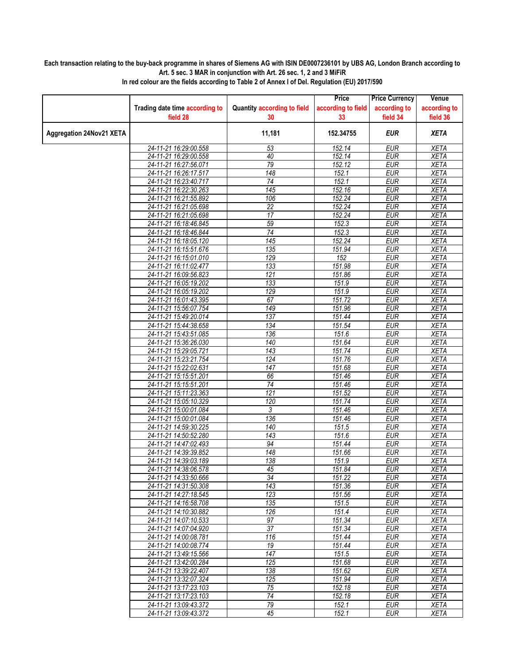## **Each transaction relating to the buy-back programme in shares of Siemens AG with ISIN DE0007236101 by UBS AG, London Branch according to Art. 5 sec. 3 MAR in conjunction with Art. 26 sec. 1, 2 and 3 MiFiR**

|                                 |                                                |                                    | Price              | <b>Price Currency</b>    | Venue        |
|---------------------------------|------------------------------------------------|------------------------------------|--------------------|--------------------------|--------------|
|                                 | Trading date time according to                 | <b>Quantity according to field</b> | according to field | according to             | according to |
|                                 | field 28                                       | 30                                 | 33                 | field 34                 | field 36     |
| <b>Aggregation 24Nov21 XETA</b> |                                                | 11,181                             | 152.34755          | <b>EUR</b>               | <b>XETA</b>  |
|                                 | 24-11-21 16:29:00.558                          | 53                                 | 152.14             | <b>EUR</b>               | <b>XETA</b>  |
|                                 | 24-11-21 16:29:00.558                          | 40                                 | 152.14             | <b>EUR</b>               | <b>XETA</b>  |
|                                 | 24-11-21 16:27:56.071                          | 79                                 | 152.12             | <b>EUR</b>               | <b>XETA</b>  |
|                                 | 24-11-21 16:26:17.517                          | $\overline{148}$                   | 152.1              | <b>EUR</b>               | <b>XETA</b>  |
|                                 | 24-11-21 16:23:40.717                          | 74                                 | 152.1              | <b>EUR</b>               | <b>XETA</b>  |
|                                 | 24-11-21 16:22:30.263                          | 145                                | 152.16             | <b>EUR</b>               | <b>XETA</b>  |
|                                 | 24-11-21 16:21:55.892                          | 106                                | 152.24             | <b>EUR</b>               | <b>XETA</b>  |
|                                 | 24-11-21 16:21:05.698                          | $\overline{22}$                    | 152.24             | <b>EUR</b>               | <b>XETA</b>  |
|                                 | 24-11-21 16:21:05.698                          | 17                                 | 152.24             | <b>EUR</b>               | <b>XETA</b>  |
|                                 | 24-11-21 16:18:46.845                          | 59                                 | 152.3              | <b>EUR</b>               | <b>XETA</b>  |
|                                 | 24-11-21 16:18:46.844                          | 74                                 | 152.3              | <b>EUR</b>               | <b>XETA</b>  |
|                                 | 24-11-21 16:18:05.120                          | 145                                | 152.24             | <b>EUR</b>               | <b>XETA</b>  |
|                                 | 24-11-21 16:15:51.676                          | 135                                | 151.94             | <b>EUR</b>               | <b>XETA</b>  |
|                                 | 24-11-21 16:15:01.010                          | 129                                | 152                | <b>EUR</b>               | <b>XETA</b>  |
|                                 | 24-11-21 16:11:02.477                          | 133                                | 151.98             | <b>EUR</b>               | <b>XETA</b>  |
|                                 | 24-11-21 16:09:56.823                          | 121                                | 151.86             | <b>EUR</b>               | <b>XETA</b>  |
|                                 | 24-11-21 16:05:19.202                          | 133                                | 151.9              | <b>EUR</b>               | <b>XETA</b>  |
|                                 | 24-11-21 16:05:19.202                          | 129                                | 151.9              | <b>EUR</b>               | <b>XETA</b>  |
|                                 | 24-11-21 16:01:43.395                          | 67                                 | 151.72             | <b>EUR</b>               | <b>XETA</b>  |
|                                 | 24-11-21 15:56:07.754                          | 149                                | 151.96             | <b>EUR</b>               | <b>XETA</b>  |
|                                 | 24-11-21 15:49:20.014                          | 137                                | 151.44             | <b>EUR</b>               | <b>XETA</b>  |
|                                 | 24-11-21 15:44:38.658                          | 134                                | 151.54             | <b>EUR</b>               | <b>XETA</b>  |
|                                 | 24-11-21 15:43:51.085                          | 136                                | 151.6              | <b>EUR</b>               | <b>XETA</b>  |
|                                 | 24-11-21 15:36:26.030                          | 140                                | 151.64             | <b>EUR</b>               | <b>XETA</b>  |
|                                 | 24-11-21 15:29:05.721                          | $\overline{143}$                   | 151.74             | <b>EUR</b>               | <b>XETA</b>  |
|                                 | 24-11-21 15:23:21.754                          | 124                                | 151.76             | <b>EUR</b>               | <b>XETA</b>  |
|                                 | 24-11-21 15:22:02.631                          | 147                                | 151.68             | <b>EUR</b>               | <b>XETA</b>  |
|                                 | 24-11-21 15:15:51.201                          | 66                                 | 151.46             | <b>EUR</b>               | <b>XETA</b>  |
|                                 | 24-11-21 15:15:51.201                          | $\overline{74}$                    | 151.46             | <b>EUR</b>               | <b>XETA</b>  |
|                                 | 24-11-21 15:11:23.363                          | $\overline{121}$                   | 151.52             | <b>EUR</b>               | <b>XETA</b>  |
|                                 | 24-11-21 15:05:10.329                          | 120                                | 151.74             | <b>EUR</b>               | <b>XETA</b>  |
|                                 | 24-11-21 15:00:01.084                          | 3                                  | 151.46             | <b>EUR</b>               | <b>XETA</b>  |
|                                 | 24-11-21 15:00:01.084                          | 136                                | 151.46             | <b>EUR</b>               | <b>XETA</b>  |
|                                 | 24-11-21 14:59:30.225                          | 140                                | 151.5              | <b>EUR</b>               | <b>XETA</b>  |
|                                 | 24-11-21 14:50:52.280                          | 143                                | 151.6              | <b>EUR</b>               | <b>XETA</b>  |
|                                 | 24-11-21 14:47:02.493                          | 94                                 | 151.44             | <b>EUR</b>               | <b>XETA</b>  |
|                                 | 24-11-21 14:39:39.852                          | 148                                | 151.66             | <b>EUR</b>               | <b>XETA</b>  |
|                                 | 24-11-21 14:39:03.189                          | 138                                | 151.9              | <b>EUR</b>               | <b>XETA</b>  |
|                                 | 24-11-21 14:38:06.578                          | 45                                 | 151.84             | <b>EUR</b>               | <b>XETA</b>  |
|                                 | 24-11-21 14:33:50.666                          | 34<br>$\overline{143}$             | 151.22             | <b>EUR</b><br><b>EUR</b> | XETA         |
|                                 | 24-11-21 14:31:50.308                          | 123                                | 151.36             | <b>EUR</b>               | <b>XETA</b>  |
|                                 | 24-11-21 14:27:18.545<br>24-11-21 14:16:58.708 | 135                                | 151.56<br>151.5    | <b>EUR</b>               | XETA<br>XETA |
|                                 | 24-11-21 14:10:30.882                          | 126                                | 151.4              | <b>EUR</b>               | <b>XETA</b>  |
|                                 | 24-11-21 14:07:10.533                          | 97                                 | 151.34             | <b>EUR</b>               | <b>XETA</b>  |
|                                 | 24-11-21 14:07:04.920                          | $\overline{37}$                    | 151.34             | <b>EUR</b>               | XETA         |
|                                 | 24-11-21 14:00:08.781                          | 116                                | 151.44             | <b>EUR</b>               | <b>XETA</b>  |
|                                 | 24-11-21 14:00:08.774                          | 19                                 | 151.44             | <b>EUR</b>               | <b>XETA</b>  |
|                                 | 24-11-21 13:49:15.566                          | 147                                | 151.5              | <b>EUR</b>               | XETA         |
|                                 | 24-11-21 13:42:00.284                          | 125                                | 151.68             | <b>EUR</b>               | <b>XETA</b>  |
|                                 | 24-11-21 13:39:22.407                          | 138                                | 151.62             | <b>EUR</b>               | <b>XETA</b>  |
|                                 | 24-11-21 13:32:07.324                          | 125                                | 151.94             | <b>EUR</b>               | <b>XETA</b>  |
|                                 | 24-11-21 13:17:23.103                          | 75                                 | 152.18             | <b>EUR</b>               | XETA         |
|                                 | 24-11-21 13:17:23.103                          | $\overline{74}$                    | 152.18             | <b>EUR</b>               | <b>XETA</b>  |
|                                 | 24-11-21 13:09:43.372                          | $\overline{79}$                    | 152.1              | <b>EUR</b>               | <b>XETA</b>  |
|                                 | 24-11-21 13:09:43.372                          | 45                                 | 152.1              | EUR                      | XETA         |
|                                 |                                                |                                    |                    |                          |              |

**In red colour are the fields according to Table 2 of Annex I of Del. Regulation (EU) 2017/590**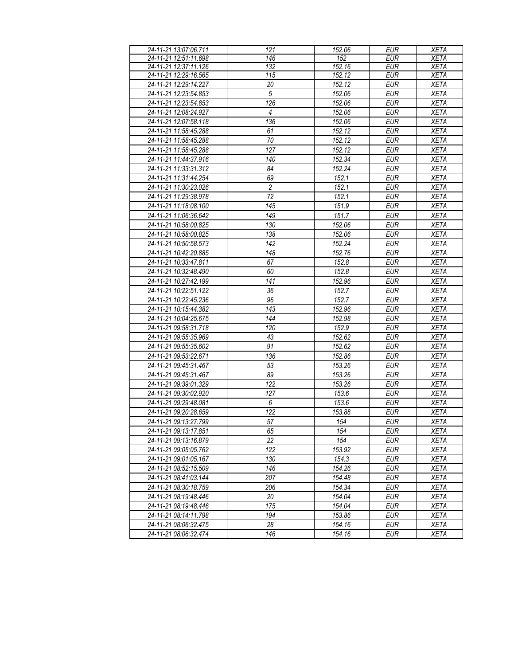| 24-11-21 13:07:06.711 | 121            | 152.06 | <b>EUR</b> | <b>XETA</b> |
|-----------------------|----------------|--------|------------|-------------|
| 24-11-21 12:51:11.698 | 146            | 152    | <b>EUR</b> | <b>XETA</b> |
| 24-11-21 12:37:11.126 | 132            | 152.16 | EUR        | <b>XETA</b> |
| 24-11-21 12:29:16.565 | 115            | 152.12 | <b>EUR</b> | <b>XETA</b> |
| 24-11-21 12:29:14.227 | 20             | 152.12 | <b>EUR</b> | <b>XETA</b> |
| 24-11-21 12:23:54.853 | $\overline{5}$ | 152.06 | <b>EUR</b> | <b>XETA</b> |
| 24-11-21 12:23:54.853 | 126            | 152.06 | <b>EUR</b> | <b>XETA</b> |
| 24-11-21 12:08:24.927 | $\overline{4}$ | 152.06 | <b>EUR</b> | <b>XETA</b> |
| 24-11-21 12:07:58.118 | 136            | 152.06 | <b>EUR</b> | <b>XETA</b> |
| 24-11-21 11:58:45.288 | 61             | 152.12 | <b>EUR</b> | <b>XETA</b> |
| 24-11-21 11:58:45.288 | $70\,$         | 152.12 | <b>EUR</b> | <b>XETA</b> |
| 24-11-21 11:58:45.288 | 127            | 152.12 | <b>EUR</b> | <b>XETA</b> |
| 24-11-21 11:44:37.916 | 140            | 152.34 | <b>EUR</b> | <b>XETA</b> |
| 24-11-21 11:33:31.312 | 84             | 152.24 | <b>EUR</b> | <b>XETA</b> |
| 24-11-21 11:31:44.254 | 69             | 152.1  | <b>EUR</b> | <b>XETA</b> |
| 24-11-21 11:30:23.026 | $\overline{c}$ | 152.1  | <b>EUR</b> | <b>XETA</b> |
| 24-11-21 11:29:38.978 | 72             | 152.1  | EUR        | <b>XETA</b> |
| 24-11-21 11:18:08.100 | 145            | 151.9  | <b>EUR</b> | <b>XETA</b> |
| 24-11-21 11:06:36.642 | 149            | 151.7  | <b>EUR</b> | <b>XETA</b> |
| 24-11-21 10:58:00.825 | 130            | 152.06 | <b>EUR</b> | <b>XETA</b> |
| 24-11-21 10:58:00.825 | 138            | 152.06 | <b>EUR</b> | <b>XETA</b> |
| 24-11-21 10:50:58.573 | 142            | 152.24 | <b>EUR</b> | <b>XETA</b> |
| 24-11-21 10:42:20.885 | 148            | 152.76 | <b>EUR</b> | <b>XETA</b> |
| 24-11-21 10:33:47.811 | 67             | 152.8  | <b>EUR</b> | <b>XETA</b> |
| 24-11-21 10:32:48.490 | 60             | 152.8  | <b>EUR</b> | <b>XETA</b> |
|                       | 141            |        | <b>EUR</b> |             |
| 24-11-21 10:27:42.199 |                | 152.96 |            | <b>XETA</b> |
| 24-11-21 10:22:51.122 | 36             | 152.7  | <b>EUR</b> | <b>XETA</b> |
| 24-11-21 10:22:45.236 | 96             | 152.7  | <b>EUR</b> | <b>XETA</b> |
| 24-11-21 10:15:44.382 | 143            | 152.96 | <b>EUR</b> | <b>XETA</b> |
| 24-11-21 10:04:25.675 | 144            | 152.98 | <b>EUR</b> | <b>XETA</b> |
| 24-11-21 09:58:31.718 | 120            | 152.9  | <b>EUR</b> | <b>XETA</b> |
| 24-11-21 09:55:35.969 | 43             | 152.62 | <b>EUR</b> | <b>XETA</b> |
| 24-11-21 09:55:35.602 | 91             | 152.62 | <b>EUR</b> | <b>XETA</b> |
| 24-11-21 09:53:22.671 | 136            | 152.86 | <b>EUR</b> | <b>XETA</b> |
| 24-11-21 09:45:31.467 | 53             | 153.26 | <b>EUR</b> | <b>XETA</b> |
| 24-11-21 09:45:31.467 | 89             | 153.26 | <b>EUR</b> | <b>XETA</b> |
| 24-11-21 09:39:01.329 | 122            | 153.26 | <b>EUR</b> | <b>XETA</b> |
| 24-11-21 09:30:02.920 | 127            | 153.6  | EUR        | <b>XETA</b> |
| 24-11-21 09:29:48.081 | 6              | 153.6  | <b>EUR</b> | <b>XETA</b> |
| 24-11-21 09:20:28.659 | 122            | 153.88 | <b>EUR</b> | <b>XETA</b> |
| 24-11-21 09:13:27.799 | 57             | 154    | <b>EUR</b> | <b>XETA</b> |
| 24-11-21 09:13:17.851 | 65             | 154    | EUR        | XETA        |
| 24-11-21 09:13:16.879 | 22             | 154    | EUR        | <b>XETA</b> |
| 24-11-21 09:05:05.762 | 122            | 153.92 | <b>EUR</b> | <b>XETA</b> |
| 24-11-21 09:01:05.167 | 130            | 154.3  | EUR        | XETA        |
| 24-11-21 08:52:15.509 | 146            | 154.26 | <b>EUR</b> | <b>XETA</b> |
| 24-11-21 08:41:03.144 | 207            | 154.48 | EUR        | <b>XETA</b> |
| 24-11-21 08:30:18.759 | 206            | 154.34 | <b>EUR</b> | <b>XETA</b> |
| 24-11-21 08:19:48.446 | 20             | 154.04 | <b>EUR</b> | <b>XETA</b> |
| 24-11-21 08:19:48.446 | 175            | 154.04 | <b>EUR</b> | <b>XETA</b> |
| 24-11-21 08:14:11.798 | 194            | 153.86 | <b>EUR</b> | <b>XETA</b> |
| 24-11-21 08:06:32.475 | 28             | 154.16 | <b>EUR</b> | <b>XETA</b> |
| 24-11-21 08:06:32.474 | 146            | 154.16 | EUR        | <b>XETA</b> |
|                       |                |        |            |             |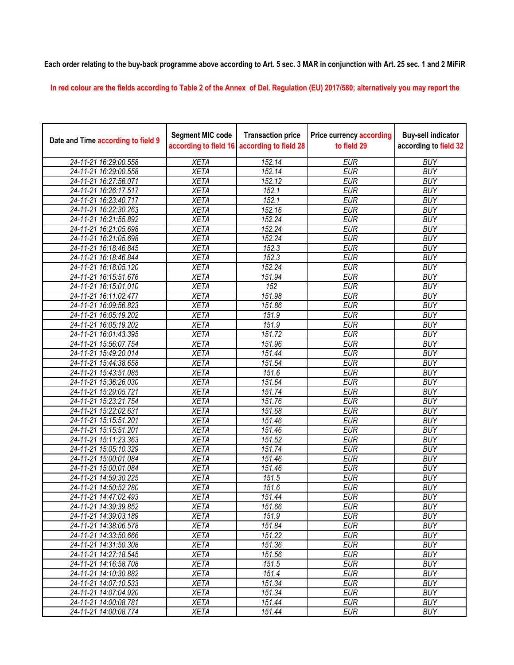**Each order relating to the buy-back programme above according to Art. 5 sec. 3 MAR in conjunction with Art. 25 sec. 1 and 2 MiFiR** 

**In red colour are the fields according to Table 2 of the Annex of Del. Regulation (EU) 2017/580; alternatively you may report the** 

| Date and Time according to field 9 | <b>Segment MIC code</b><br>according to field 16 | <b>Transaction price</b><br>according to field 28 | <b>Price currency according</b><br>to field 29 | <b>Buy-sell indicator</b><br>according to field 32 |
|------------------------------------|--------------------------------------------------|---------------------------------------------------|------------------------------------------------|----------------------------------------------------|
| 24-11-21 16:29:00.558              | <b>XETA</b>                                      | 152.14                                            | <b>EUR</b>                                     | <b>BUY</b>                                         |
| 24-11-21 16:29:00.558              | <b>XETA</b>                                      | 152.14                                            | <b>EUR</b>                                     | <b>BUY</b>                                         |
| 24-11-21 16:27:56.071              | <b>XETA</b>                                      | 152.12                                            | <b>EUR</b>                                     | <b>BUY</b>                                         |
| 24-11-21 16:26:17.517              | <b>XETA</b>                                      | 152.1                                             | <b>EUR</b>                                     | <b>BUY</b>                                         |
| 24-11-21 16:23:40.717              | <b>XETA</b>                                      | 152.1                                             | <b>EUR</b>                                     | <b>BUY</b>                                         |
| 24-11-21 16:22:30.263              | <b>XETA</b>                                      | 152.16                                            | <b>EUR</b>                                     | <b>BUY</b>                                         |
| 24-11-21 16:21:55.892              | <b>XETA</b>                                      | 152.24                                            | <b>EUR</b>                                     | <b>BUY</b>                                         |
| 24-11-21 16:21:05.698              | <b>XETA</b>                                      | 152.24                                            | <b>EUR</b>                                     | <b>BUY</b>                                         |
| 24-11-21 16:21:05.698              | <b>XETA</b>                                      | 152.24                                            | <b>EUR</b>                                     | <b>BUY</b>                                         |
| 24-11-21 16:18:46.845              | <b>XETA</b>                                      | 152.3                                             | <b>EUR</b>                                     | <b>BUY</b>                                         |
| 24-11-21 16:18:46.844              | <b>XETA</b>                                      | 152.3                                             | <b>EUR</b>                                     | <b>BUY</b>                                         |
| 24-11-21 16:18:05.120              | <b>XETA</b>                                      | 152.24                                            | <b>EUR</b>                                     | <b>BUY</b>                                         |
| 24-11-21 16:15:51.676              | <b>XETA</b>                                      | 151.94                                            | <b>EUR</b>                                     | <b>BUY</b>                                         |
| 24-11-21 16:15:01.010              | <b>XETA</b>                                      | $\overline{152}$                                  | <b>EUR</b>                                     | <b>BUY</b>                                         |
| 24-11-21 16:11:02.477              | <b>XETA</b>                                      | 151.98                                            | <b>EUR</b>                                     | <b>BUY</b>                                         |
| 24-11-21 16:09:56.823              | <b>XETA</b>                                      | 151.86                                            | <b>EUR</b>                                     | <b>BUY</b>                                         |
| 24-11-21 16:05:19.202              | <b>XETA</b>                                      | 151.9                                             | <b>EUR</b>                                     | <b>BUY</b>                                         |
| 24-11-21 16:05:19.202              | <b>XETA</b>                                      | 151.9                                             | <b>EUR</b>                                     | <b>BUY</b>                                         |
| 24-11-21 16:01:43.395              | <b>XETA</b>                                      | 151.72                                            | <b>EUR</b>                                     | <b>BUY</b>                                         |
| 24-11-21 15:56:07.754              | <b>XETA</b>                                      | 151.96                                            | <b>EUR</b>                                     | <b>BUY</b>                                         |
| 24-11-21 15:49:20.014              | <b>XETA</b>                                      | 151.44                                            | <b>EUR</b>                                     | <b>BUY</b>                                         |
| 24-11-21 15:44:38.658              | <b>XETA</b>                                      | 151.54                                            | <b>EUR</b>                                     | <b>BUY</b>                                         |
| 24-11-21 15:43:51.085              | <b>XETA</b>                                      | 151.6                                             | <b>EUR</b>                                     | <b>BUY</b>                                         |
| 24-11-21 15:36:26.030              | <b>XETA</b>                                      | 151.64                                            | <b>EUR</b>                                     | <b>BUY</b>                                         |
| 24-11-21 15:29:05.721              | <b>XETA</b>                                      | 151.74                                            | <b>EUR</b>                                     | <b>BUY</b>                                         |
| 24-11-21 15:23:21.754              | <b>XETA</b>                                      | 151.76                                            | <b>EUR</b>                                     | <b>BUY</b>                                         |
| 24-11-21 15:22:02.631              | <b>XETA</b>                                      | 151.68                                            | <b>EUR</b>                                     | <b>BUY</b>                                         |
| 24-11-21 15:15:51.201              | <b>XETA</b>                                      | 151.46                                            | <b>EUR</b>                                     | <b>BUY</b>                                         |
| 24-11-21 15:15:51.201              | <b>XETA</b>                                      | 151.46                                            | <b>EUR</b>                                     | <b>BUY</b>                                         |
| 24-11-21 15:11:23.363              | <b>XETA</b>                                      | 151.52                                            | <b>EUR</b>                                     | <b>BUY</b>                                         |
| 24-11-21 15:05:10.329              | <b>XETA</b>                                      | 151.74                                            | <b>EUR</b>                                     | <b>BUY</b>                                         |
| 24-11-21 15:00:01.084              | <b>XETA</b>                                      | 151.46                                            | <b>EUR</b>                                     | <b>BUY</b>                                         |
| 24-11-21 15:00:01.084              | <b>XETA</b>                                      | 151.46                                            | <b>EUR</b>                                     | <b>BUY</b>                                         |
| 24-11-21 14:59:30.225              | <b>XETA</b>                                      | 151.5                                             | <b>EUR</b>                                     | <b>BUY</b>                                         |
| 24-11-21 14:50:52.280              | <b>XETA</b>                                      | 151.6                                             | <b>EUR</b>                                     | <b>BUY</b>                                         |
| 24-11-21 14:47:02.493              | <b>XETA</b>                                      | 151.44                                            | <b>EUR</b>                                     | <b>BUY</b>                                         |
| 24-11-21 14:39:39.852              | <b>XETA</b>                                      | 151.66                                            | <b>EUR</b>                                     | <b>BUY</b>                                         |
| 24-11-21 14:39:03.189              | <b>XETA</b>                                      | 151.9                                             | <b>EUR</b>                                     | <b>BUY</b>                                         |
| 24-11-21 14:38:06.578              | <b>XETA</b>                                      | 151.84                                            | <b>EUR</b>                                     | <b>BUY</b>                                         |
| 24-11-21 14:33:50.666              | <b>XETA</b>                                      | 151.22                                            | <b>EUR</b>                                     | <b>BUY</b>                                         |
| 24-11-21 14:31:50.308              | <b>XETA</b>                                      | 151.36                                            | <b>EUR</b>                                     | <b>BUY</b>                                         |
| 24-11-21 14:27:18.545              | <b>XETA</b>                                      | 151.56                                            | <b>EUR</b>                                     | <b>BUY</b>                                         |
| 24-11-21 14:16:58.708              | <b>XETA</b>                                      | 151.5                                             | <b>EUR</b>                                     | <b>BUY</b>                                         |
| 24-11-21 14:10:30.882              | <b>XETA</b>                                      | 151.4                                             | <b>EUR</b>                                     | <b>BUY</b>                                         |
| 24-11-21 14:07:10.533              | <b>XETA</b>                                      | 151.34                                            | <b>EUR</b>                                     | <b>BUY</b>                                         |
| 24-11-21 14:07:04.920              | <b>XETA</b>                                      | 151.34                                            | <b>EUR</b>                                     | <b>BUY</b>                                         |
| 24-11-21 14:00:08.781              | <b>XETA</b>                                      | 151.44                                            | <b>EUR</b>                                     | <b>BUY</b>                                         |
| 24-11-21 14:00:08.774              | <b>XETA</b>                                      | 151.44                                            | EUR                                            | <b>BUY</b>                                         |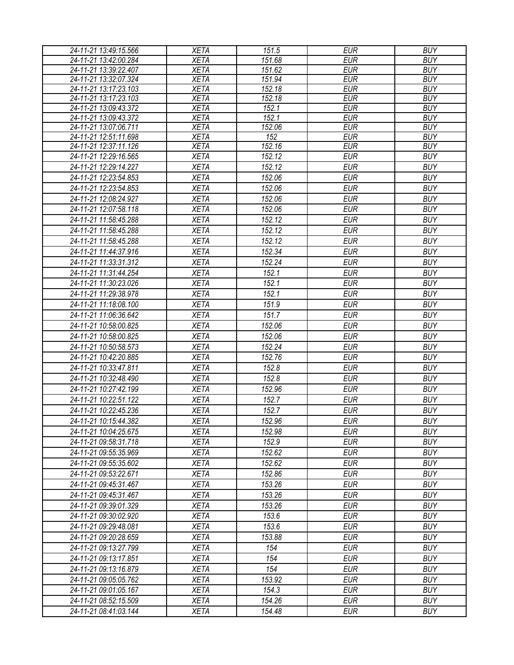| 24-11-21 13:49:15.566                          | <b>XETA</b>                | 151.5         | <b>EUR</b>               | <b>BUY</b>               |
|------------------------------------------------|----------------------------|---------------|--------------------------|--------------------------|
| 24-11-21 13:42:00.284                          | <b>XETA</b>                | 151.68        | <b>EUR</b>               | <b>BUY</b>               |
| 24-11-21 13:39:22.407                          | <b>XETA</b>                | 151.62        | <b>EUR</b>               | <b>BUY</b>               |
| 24-11-21 13:32:07.324                          | <b>XETA</b>                | 151.94        | <b>EUR</b>               | <b>BUY</b>               |
| 24-11-21 13:17:23.103                          | <b>XETA</b>                | 152.18        | <b>EUR</b>               | <b>BUY</b>               |
| 24-11-21 13:17:23.103                          | <b>XETA</b>                | 152.18        | <b>EUR</b>               | <b>BUY</b>               |
| 24-11-21 13:09:43.372                          | <b>XETA</b>                | 152.1         | <b>EUR</b>               | <b>BUY</b>               |
| 24-11-21 13:09:43.372                          | <b>XETA</b>                | 152.1         | <b>EUR</b>               | <b>BUY</b>               |
| 24-11-21 13:07:06.711                          | <b>XETA</b>                | 152.06        | <b>EUR</b>               | <b>BUY</b>               |
| 24-11-21 12:51:11.698<br>24-11-21 12:37:11.126 | <b>XETA</b><br><b>XETA</b> | 152<br>152.16 | <b>EUR</b><br><b>EUR</b> | <b>BUY</b><br><b>BUY</b> |
| 24-11-21 12:29:16.565                          | <b>XETA</b>                | 152.12        | <b>EUR</b>               | <b>BUY</b>               |
| 24-11-21 12:29:14.227                          | <b>XETA</b>                | 152.12        | <b>EUR</b>               | <b>BUY</b>               |
| 24-11-21 12:23:54.853                          |                            | 152.06        | <b>EUR</b>               | <b>BUY</b>               |
|                                                | <b>XETA</b>                |               |                          |                          |
| 24-11-21 12:23:54.853                          | <b>XETA</b>                | 152.06        | <b>EUR</b>               | <b>BUY</b>               |
| 24-11-21 12:08:24.927                          | <b>XETA</b>                | 152.06        | <b>EUR</b>               | <b>BUY</b>               |
| 24-11-21 12:07:58.118                          | <b>XETA</b>                | 152.06        | <b>EUR</b>               | <b>BUY</b>               |
| 24-11-21 11:58:45.288                          | <b>XETA</b>                | 152.12        | <b>EUR</b>               | <b>BUY</b>               |
| 24-11-21 11:58:45.288                          | <b>XETA</b>                | 152.12        | <b>EUR</b>               | <b>BUY</b>               |
| 24-11-21 11:58:45.288                          | <b>XETA</b>                | 152.12        | <b>EUR</b>               | <b>BUY</b>               |
| 24-11-21 11:44:37.916                          | <b>XETA</b>                | 152.34        | <b>EUR</b>               | <b>BUY</b>               |
| 24-11-21 11:33:31.312                          | <b>XETA</b>                | 152.24        | <b>EUR</b>               | <b>BUY</b>               |
| 24-11-21 11:31:44.254                          | <b>XETA</b>                | 152.1         | <b>EUR</b>               | <b>BUY</b>               |
| 24-11-21 11:30:23.026                          | <b>XETA</b>                | 152.1         | <b>EUR</b>               | <b>BUY</b>               |
| 24-11-21 11:29:38.978                          | <b>XETA</b>                | 152.1         | <b>EUR</b>               | <b>BUY</b>               |
| 24-11-21 11:18:08.100                          | <b>XETA</b>                | 151.9         | <b>EUR</b>               | <b>BUY</b>               |
| 24-11-21 11:06:36.642                          | <b>XETA</b>                | 151.7         | <b>EUR</b>               | <b>BUY</b>               |
| 24-11-21 10:58:00.825                          | <b>XETA</b>                | 152.06        | <b>EUR</b>               | <b>BUY</b>               |
| 24-11-21 10:58:00.825                          | <b>XETA</b>                | 152.06        | <b>EUR</b>               | <b>BUY</b>               |
| 24-11-21 10:50:58.573                          | <b>XETA</b>                | 152.24        | <b>EUR</b>               | <b>BUY</b>               |
| 24-11-21 10:42:20.885                          | <b>XETA</b>                | 152.76        | <b>EUR</b>               | <b>BUY</b>               |
| 24-11-21 10:33:47.811                          | <b>XETA</b>                | 152.8         | <b>EUR</b>               | <b>BUY</b>               |
| 24-11-21 10:32:48.490                          | <b>XETA</b>                | 152.8         | <b>EUR</b>               | <b>BUY</b>               |
| 24-11-21 10:27:42.199                          | <b>XETA</b>                | 152.96        | <b>EUR</b>               | <b>BUY</b>               |
| 24-11-21 10:22:51.122                          | <b>XETA</b>                | 152.7         | <b>EUR</b>               | <b>BUY</b>               |
| 24-11-21 10:22:45.236                          | <b>XETA</b>                | 152.7         | <b>EUR</b>               | <b>BUY</b>               |
| 24-11-21 10:15:44.382                          | <b>XETA</b>                | 152.96        | <b>EUR</b>               | <b>BUY</b>               |
| 24-11-21 10:04:25.675                          | <b>XETA</b>                | 152.98        | EUR                      | <b>BUY</b>               |
| 24-11-21 09:58:31.718                          | <b>XETA</b>                | 152.9         | <b>EUR</b>               | <b>BUY</b>               |
| 24-11-21 09:55:35.969                          | <b>XETA</b>                | 152.62        | <b>EUR</b>               | <b>BUY</b>               |
| 24-11-21 09:55:35.602                          | <b>XETA</b>                | 152.62        | <b>EUR</b>               | <b>BUY</b>               |
| 24-11-21 09:53:22.671                          | <b>XETA</b>                | 152.86        | <b>EUR</b>               | <b>BUY</b>               |
| 24-11-21 09:45:31.467                          | <b>XETA</b>                | 153.26        | <b>EUR</b>               | <b>BUY</b>               |
|                                                | <b>XETA</b>                | 153.26        |                          |                          |
| 24-11-21 09:45:31.467<br>24-11-21 09:39:01.329 |                            |               | EUR                      | <b>BUY</b><br><b>BUY</b> |
|                                                | <b>XETA</b>                | 153.26        | <b>EUR</b>               |                          |
| 24-11-21 09:30:02.920                          | <b>XETA</b>                | 153.6         | <b>EUR</b>               | <b>BUY</b>               |
| 24-11-21 09:29:48.081                          | <b>XETA</b>                | 153.6         | <b>EUR</b>               | <b>BUY</b>               |
| 24-11-21 09:20:28.659                          | <b>XETA</b>                | 153.88        | <b>EUR</b>               | <b>BUY</b>               |
| 24-11-21 09:13:27.799                          | <b>XETA</b>                | 154           | <b>EUR</b>               | <b>BUY</b>               |
| 24-11-21 09:13:17.851                          | <b>XETA</b>                | 154           | <b>EUR</b>               | <b>BUY</b>               |
| 24-11-21 09:13:16.879                          | <b>XETA</b>                | 154           | <b>EUR</b>               | <b>BUY</b>               |
| 24-11-21 09:05:05.762                          | <b>XETA</b>                | 153.92        | <b>EUR</b>               | <b>BUY</b>               |
| 24-11-21 09:01:05.167                          | <b>XETA</b>                | 154.3         | <b>EUR</b>               | <b>BUY</b>               |
| 24-11-21 08:52:15.509                          | <b>XETA</b>                | 154.26        | <b>EUR</b>               | <b>BUY</b>               |
| 24-11-21 08:41:03.144                          | <b>XETA</b>                | 154.48        | <b>EUR</b>               | <b>BUY</b>               |